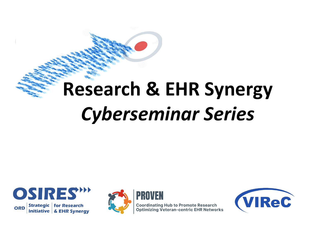# **Research & EHR Synergy**  *Cyberseminar Series*





**Coordinating Hub to Promote Research<br>Optimizing Veteran-centric EHR Networks** 

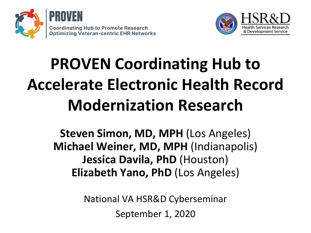



# **PROVEN Coordinating Hub to Accelerate Electronic Health Record Modernization Research**

**Steven Simon, MD, MPH** (Los Angeles) **Michael Weiner, MD, MPH** (Indianapolis) **Jessica Davila, PhD** (Houston) **Elizabeth Yano, PhD** (Los Angeles)

> National VA HSR&D Cyberseminar September 1, 2020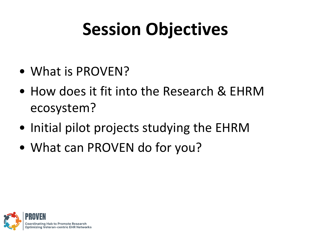# **Session Objectives**

- What is PROVEN?
- How does it fit into the Research & EHRM ecosystem?
- Initial pilot projects studying the EHRM
- What can PROVEN do for you?

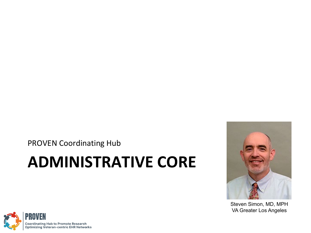PROVEN Coordinating Hub

### **ADMINISTRATIVE CORE**



Steven Simon, MD, MPH VA Greater Los Angeles

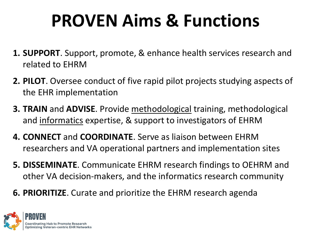# **PROVEN Aims & Functions**

- **1. SUPPORT**. Support, promote, & enhance health services research and related to EHRM
- **2. PILOT**. Oversee conduct of five rapid pilot projects studying aspects of the EHR implementation
- **3. TRAIN** and **ADVISE**. Provide methodological training, methodological and informatics expertise, & support to investigators of EHRM
- **4. CONNECT** and **COORDINATE**. Serve as liaison between EHRM researchers and VA operational partners and implementation sites
- **5. DISSEMINATE**. Communicate EHRM research findings to OEHRM and other VA decision-makers, and the informatics research community
- **6. PRIORITIZE**. Curate and prioritize the EHRM research agenda

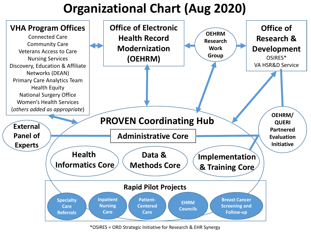### **Organizational Chart (Aug 2020)**



\*OSIRES = ORD Strategic Initiative for Research & EHR Synergy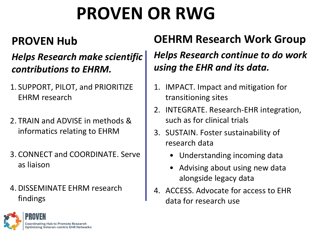# **PROVEN OR RWG**

#### **PROVEN Hub**

#### *Helps Research make scientific contributions to EHRM.*

- 1. SUPPORT, PILOT, and PRIORITIZE EHRM research
- 2. TRAIN and ADVISE in methods & informatics relating to EHRM
- 3. CONNECT and COORDINATE. Serve as liaison
- 4.DISSEMINATE EHRM research findings

#### **OEHRM Research Work Group**

#### *Helps Research continue to do work using the EHR and its data.*

- 1. IMPACT. Impact and mitigation for transitioning sites
- 2. INTEGRATE. Research-EHR integration, such as for clinical trials
- 3. SUSTAIN. Foster sustainability of research data
	- Understanding incoming data
	- Advising about using new data alongside legacy data
- 4. ACCESS. Advocate for access to EHR data for research use

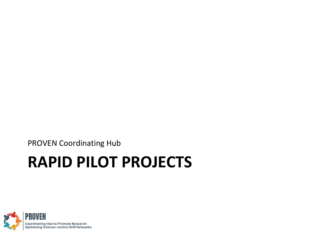PROVEN Coordinating Hub

## **RAPID PILOT PROJECTS**

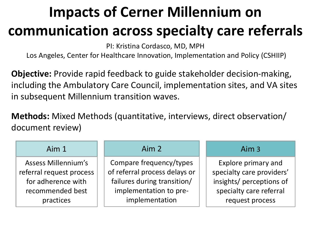### **Impacts of Cerner Millennium on communication across specialty care referrals**

PI: Kristina Cordasco, MD, MPH

Los Angeles, Center for Healthcare Innovation, Implementation and Policy (CSHIIP)

**Objective:** Provide rapid feedback to guide stakeholder decision-making, including the Ambulatory Care Council, implementation sites, and VA sites in subsequent Millennium transition waves.

**Methods:** Mixed Methods (quantitative, interviews, direct observation/ document review)

| Aim <sub>1</sub>           | Aim <sub>2</sub>              | Aim 3                     |
|----------------------------|-------------------------------|---------------------------|
| <b>Assess Millennium's</b> | Compare frequency/types       | Explore primary and       |
| referral request process   | of referral process delays or | specialty care providers' |
| for adherence with         | failures during transition/   | insights/ perceptions of  |
| recommended best           | implementation to pre-        | specialty care referral   |
| practices                  | implementation                | request process           |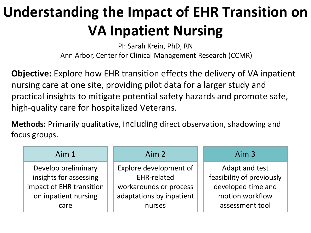### **Understanding the Impact of EHR Transition on VA Inpatient Nursing**

PI: Sarah Krein, PhD, RN Ann Arbor, Center for Clinical Management Research (CCMR)

**Objective:** Explore how EHR transition effects the delivery of VA inpatient nursing care at one site, providing pilot data for a larger study and practical insights to mitigate potential safety hazards and promote safe, high-quality care for hospitalized Veterans.

**Methods:** Primarily qualitative, including direct observation, shadowing and focus groups.

| Aim $1$                                            | Aim <sub>2</sub>                             | Aim 3                                           |
|----------------------------------------------------|----------------------------------------------|-------------------------------------------------|
| Develop preliminary                                | Explore development of                       | Adapt and test                                  |
| insights for assessing<br>impact of EHR transition | <b>EHR-related</b><br>workarounds or process | feasibility of previously<br>developed time and |
| on inpatient nursing                               | adaptations by inpatient                     | motion workflow                                 |
| care                                               | nurses                                       | assessment tool                                 |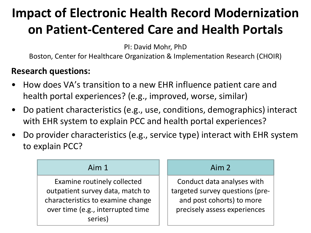### **Impact of Electronic Health Record Modernization on Patient-Centered Care and Health Portals**

PI: David Mohr, PhD

Boston, Center for Healthcare Organization & Implementation Research (CHOIR)

#### **Research questions:**

- How does VA's transition to a new EHR influence patient care and health portal experiences? (e.g., improved, worse, similar)
- Do patient characteristics (e.g., use, conditions, demographics) interact with EHR system to explain PCC and health portal experiences?
- Do provider characteristics (e.g., service type) interact with EHR system to explain PCC?

#### $Aim 1$   $Aim 2$

Examine routinely collected outpatient survey data, match to characteristics to examine change over time (e.g., interrupted time series)

Conduct data analyses with targeted survey questions (preand post cohorts) to more precisely assess experiences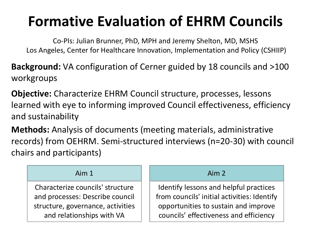### **Formative Evaluation of EHRM Councils**

Co-PIs: Julian Brunner, PhD, MPH and Jeremy Shelton, MD, MSHS Los Angeles, Center for Healthcare Innovation, Implementation and Policy (CSHIIP)

**Background:** VA configuration of Cerner guided by 18 councils and >100 workgroups

**Objective:** Characterize EHRM Council structure, processes, lessons learned with eye to informing improved Council effectiveness, efficiency and sustainability

**Methods:** Analysis of documents (meeting materials, administrative records) from OEHRM. Semi-structured interviews (n=20-30) with council chairs and participants)

| Aim <sub>1</sub>                  | Aim 2                                       |  |
|-----------------------------------|---------------------------------------------|--|
| Characterize councils' structure  | Identify lessons and helpful practices      |  |
| and processes: Describe council   | from councils' initial activities: Identify |  |
| structure, governance, activities | opportunities to sustain and improve        |  |
| and relationships with VA         | councils' effectiveness and efficiency      |  |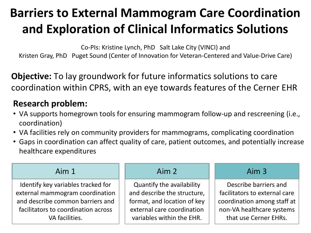### **Barriers to External Mammogram Care Coordination and Exploration of Clinical Informatics Solutions**

Co-PIs: Kristine Lynch, PhD Salt Lake City (VINCI) and Kristen Gray, PhD Puget Sound (Center of Innovation for Veteran-Centered and Value-Drive Care)

**Objective:** To lay groundwork for future informatics solutions to care coordination within CPRS, with an eye towards features of the Cerner EHR

#### **Research problem:**

- VA supports homegrown tools for ensuring mammogram follow-up and rescreening (i.e., coordination)
- VA facilities rely on community providers for mammograms, complicating coordination
- Gaps in coordination can affect quality of care, patient outcomes, and potentially increase healthcare expenditures

| Aim1                                | Aim 2                       | Aim 3                         |
|-------------------------------------|-----------------------------|-------------------------------|
| Identify key variables tracked for  | Quantify the availability   | Describe barriers and         |
| external mammogram coordination     | and describe the structure, | facilitators to external care |
| and describe common barriers and    | format, and location of key | coordination among staff at   |
| facilitators to coordination across | external care coordination  | non-VA healthcare systems     |
| VA facilities.                      | variables within the EHR.   | that use Cerner EHRs.         |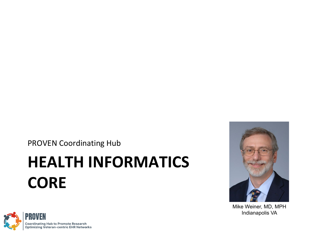PROVEN Coordinating Hub

## **HEALTH INFORMATICS CORE**



Mike Weiner, MD, MPH Indianapolis VA

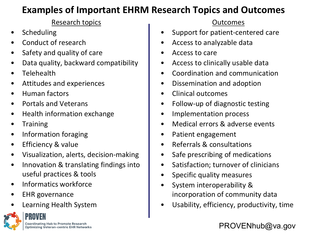#### **Examples of Important EHRM Research Topics and Outcomes**

#### Research topics

- **Scheduling**
- Conduct of research
- Safety and quality of care
- Data quality, backward compatibility
- **Telehealth**
- Attitudes and experiences
- Human factors
- Portals and Veterans
- Health information exchange
- **Training**
- Information foraging
- Efficiency & value
- Visualization, alerts, decision-making
- Innovation & translating findings into useful practices & tools
- Informatics workforce
- EHR governance
- Learning Health System

#### **Coordinating Hub to Promote Research Optimizing Veteran-centric EHR Networks**

#### Outcomes

- Support for patient-centered care
- Access to analyzable data
- Access to care
- Access to clinically usable data
- Coordination and communication
- Dissemination and adoption
- Clinical outcomes
- Follow-up of diagnostic testing
- Implementation process
- Medical errors & adverse events
- Patient engagement
- Referrals & consultations
- Safe prescribing of medications
- Satisfaction; turnover of clinicians
- Specific quality measures
- System interoperability & incorporation of community data
- Usability, efficiency, productivity, time

#### PROVENhub@va.gov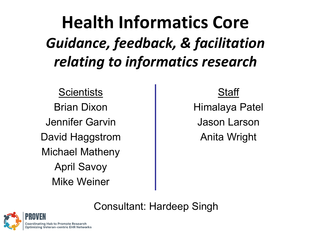**Health Informatics Core**  *Guidance, feedback, & facilitation relating to informatics research*

**Scientists** Brian Dixon

Jennifer Garvin David Haggstrom Michael Matheny April Savoy Mike Weiner

#### **Staff**

Himalaya Patel Jason Larson Anita Wright

Consultant: Hardeep Singh

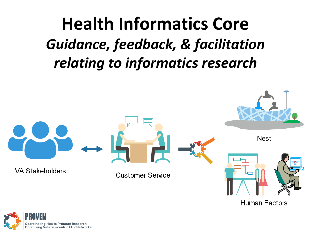## **Health Informatics Core** *Guidance, feedback, & facilitation relating to informatics research*



**Human Factors** 

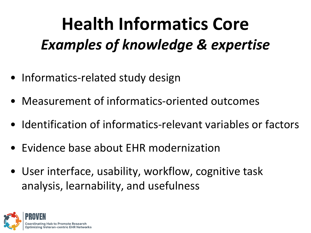# **Health Informatics Core** *Examples of knowledge & expertise*

- Informatics-related study design
- Measurement of informatics-oriented outcomes
- Identification of informatics-relevant variables or factors
- Evidence base about EHR modernization
- User interface, usability, workflow, cognitive task analysis, learnability, and usefulness

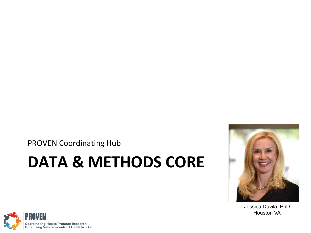PROVEN Coordinating Hub

### **DATA & METHODS CORE**



Jessica Davila, PhD Houston VA

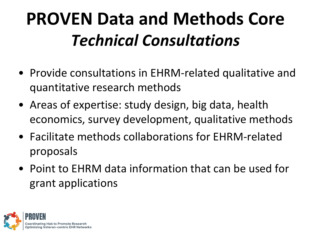# **PROVEN Data and Methods Core** *Technical Consultations*

- Provide consultations in EHRM-related qualitative and quantitative research methods
- Areas of expertise: study design, big data, health economics, survey development, qualitative methods
- Facilitate methods collaborations for EHRM-related proposals
- Point to EHRM data information that can be used for grant applications

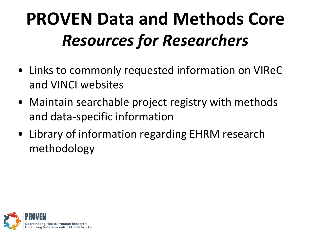# **PROVEN Data and Methods Core**  *Resources for Researchers*

- Links to commonly requested information on VIReC and VINCI websites
- Maintain searchable project registry with methods and data-specific information
- Library of information regarding EHRM research methodology

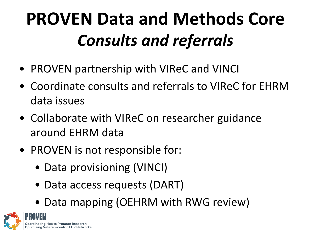# **PROVEN Data and Methods Core** *Consults and referrals*

- PROVEN partnership with VIReC and VINCI
- Coordinate consults and referrals to VIReC for EHRM data issues
- Collaborate with VIReC on researcher guidance around EHRM data
- PROVEN is not responsible for:
	- Data provisioning (VINCI)
	- Data access requests (DART)
	- Data mapping (OEHRM with RWG review)

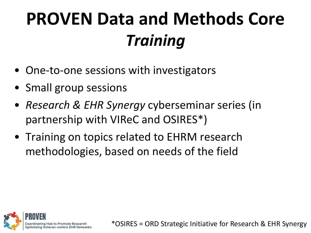# **PROVEN Data and Methods Core** *Training*

- One-to-one sessions with investigators
- Small group sessions
- *Research & EHR Synergy* cyberseminar series (in partnership with VIReC and OSIRES\*)
- Training on topics related to EHRM research methodologies, based on needs of the field

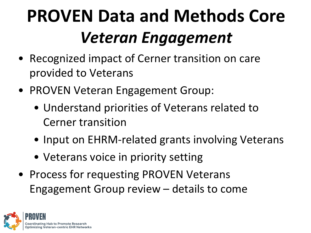# **PROVEN Data and Methods Core**  *Veteran Engagement*

- Recognized impact of Cerner transition on care provided to Veterans
- PROVEN Veteran Engagement Group:
	- Understand priorities of Veterans related to Cerner transition
	- Input on EHRM-related grants involving Veterans
	- Veterans voice in priority setting
- Process for requesting PROVEN Veterans Engagement Group review – details to come

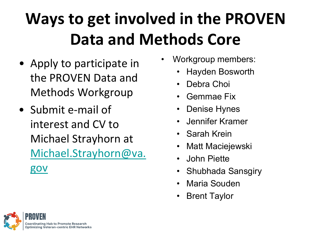## **Ways to get involved in the PROVEN Data and Methods Core**

- Apply to participate in the PROVEN Data and Methods Workgroup
- Submit e-mail of interest and CV to Michael Strayhorn at [Michael.Strayhorn@va.](mailto:Michael.Strayhorn@va.gov) gov
- Workgroup members:
	- Hayden Bosworth
	- Debra Choi
	- Gemmae Fix
	- Denise Hynes
	- Jennifer Kramer
	- Sarah Krein
	- Matt Maciejewski
	- John Piette
	- Shubhada Sansgiry
	- Maria Souden
	- **Brent Taylor**

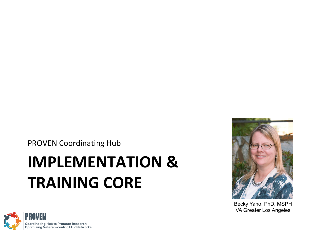PROVEN Coordinating Hub

## **IMPLEMENTATION & TRAINING CORE**



Becky Yano, PhD, MSPH VA Greater Los Angeles

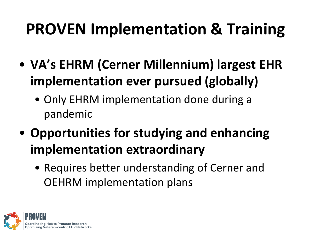- **VA's EHRM (Cerner Millennium) largest EHR implementation ever pursued (globally)**
	- Only EHRM implementation done during a pandemic
- **Opportunities for studying and enhancing implementation extraordinary**
	- Requires better understanding of Cerner and OEHRM implementation plans

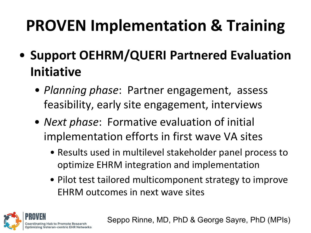- **Support OEHRM/QUERI Partnered Evaluation Initiative**
	- *Planning phase*: Partner engagement, assess feasibility, early site engagement, interviews
	- *Next phase*: Formative evaluation of initial implementation efforts in first wave VA sites
		- Results used in multilevel stakeholder panel process to optimize EHRM integration and implementation
		- Pilot test tailored multicomponent strategy to improve EHRM outcomes in next wave sites



Seppo Rinne, MD, PhD & George Sayre, PhD (MPIs)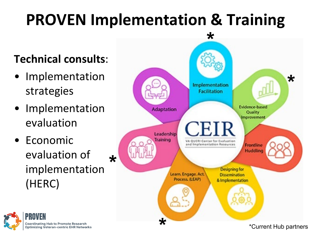### **Technical consults**:

- Implementation strategies
- **Implementation** evaluation
- Economic evaluation of implementation (HERC) **\***



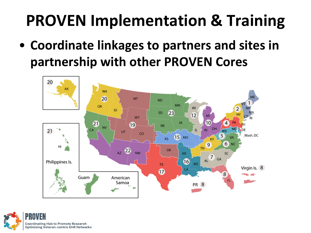• **Coordinate linkages to partners and sites in partnership with other PROVEN Cores**



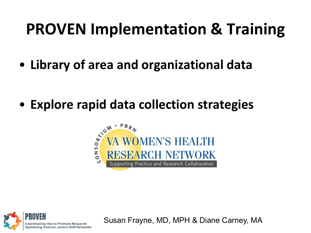• **Library of area and organizational data**

• **Explore rapid data collection strategies**





Susan Frayne, MD, MPH & Diane Carney, MA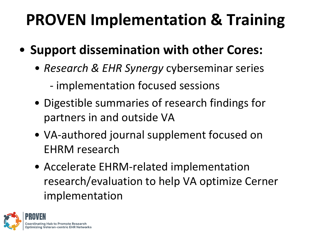- **Support dissemination with other Cores:**
	- *Research & EHR Synergy* cyberseminar series
		- implementation focused sessions
	- Digestible summaries of research findings for partners in and outside VA
	- VA-authored journal supplement focused on EHRM research
	- Accelerate EHRM-related implementation research/evaluation to help VA optimize Cerner implementation

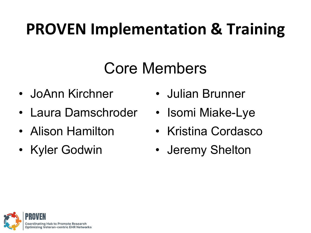### Core Members

- JoAnn Kirchner
- Laura Damschroder
- Alison Hamilton
- Kyler Godwin
- Julian Brunner
- Isomi Miake-Lye
- Kristina Cordasco
- Jeremy Shelton

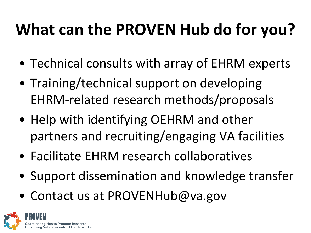## **What can the PROVEN Hub do for you?**

- Technical consults with array of EHRM experts
- Training/technical support on developing EHRM-related research methods/proposals
- Help with identifying OEHRM and other partners and recruiting/engaging VA facilities
- Facilitate EHRM research collaboratives
- Support dissemination and knowledge transfer
- Contact us at PROVENHub@va.gov

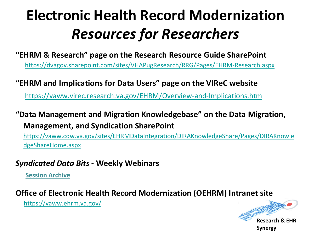### **Electronic Health Record Modernization**  *Resources for Researchers*

**"EHRM & Research" page on the Research Resource Guide SharePoint**

<https://dvagov.sharepoint.com/sites/VHAPugResearch/RRG/Pages/EHRM-Research.aspx>

#### **"EHRM and Implications for Data Users" page on the VIReC website**

<https://vaww.virec.research.va.gov/EHRM/Overview-and-Implications.htm>

#### **"Data Management and Migration Knowledgebase" on the Data Migration, Management, and Syndication SharePoint**

[https://vaww.cdw.va.gov/sites/EHRMDataIntegration/DIRAKnowledgeShare/Pages/DIRAKnowle](https://vaww.cdw.va.gov/sites/EHRMDataIntegration/DIRAKnowledgeShare/Pages/DIRAKnowledgeShareHome.aspx) dgeShareHome.aspx

#### *Syndicated Data Bits* **- Weekly Webinars**

**[Session Archive](https://vaww.cdw.va.gov/sites/EHRMDataIntegration/DIRAKnowledgeShare/OEHRM%20DMM-DSYN%20Documents/Forms/AllItems.aspx?RootFolder=/sites/EHRMDataIntegration/DIRAKnowledgeShare/OEHRM%20DMM-DSYN%20Documents/Data%20Syndication/Data%20Syndication%20Training/Data%20Syndication%20Training%20Recordings&FolderCTID=0x012000F4C3E28F21E21F498BAAE0600DFF9A7A&View=%7b1FC18E27-AC26-491C-B504-8F014E61D020%7d)**

#### **Office of Electronic Health Record Modernization (OEHRM) Intranet site**

<https://vaww.ehrm.va.gov/>